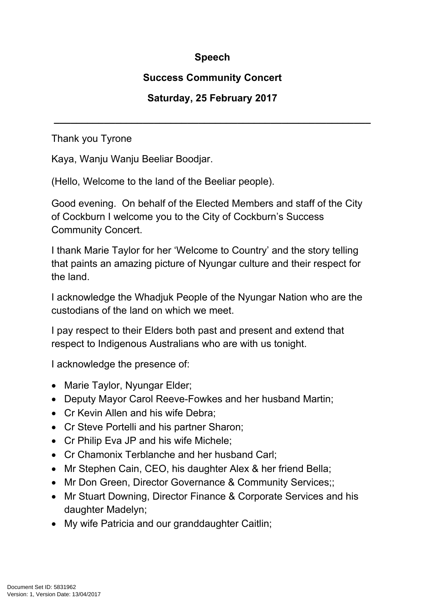## **Speech**

## **Success Community Concert**

## **Saturday, 25 February 2017**

**\_\_\_\_\_\_\_\_\_\_\_\_\_\_\_\_\_\_\_\_\_\_\_\_\_\_\_\_\_\_\_\_\_\_\_\_\_\_\_\_\_\_\_\_\_\_\_\_\_\_\_\_\_\_\_\_\_**

Thank you Tyrone

Kaya, Wanju Wanju Beeliar Boodjar.

(Hello, Welcome to the land of the Beeliar people).

Good evening. On behalf of the Elected Members and staff of the City of Cockburn I welcome you to the City of Cockburn's Success Community Concert.

I thank Marie Taylor for her 'Welcome to Country' and the story telling that paints an amazing picture of Nyungar culture and their respect for the land.

I acknowledge the Whadjuk People of the Nyungar Nation who are the custodians of the land on which we meet.

I pay respect to their Elders both past and present and extend that respect to Indigenous Australians who are with us tonight.

I acknowledge the presence of:

- Marie Taylor, Nyungar Elder;
- Deputy Mayor Carol Reeve-Fowkes and her husband Martin;
- Cr Kevin Allen and his wife Debra:
- Cr Steve Portelli and his partner Sharon;
- Cr Philip Eva JP and his wife Michele;
- Cr Chamonix Terblanche and her husband Carl;
- Mr Stephen Cain, CEO, his daughter Alex & her friend Bella;
- Mr Don Green, Director Governance & Community Services:
- Mr Stuart Downing, Director Finance & Corporate Services and his daughter Madelyn;
- My wife Patricia and our granddaughter Caitlin;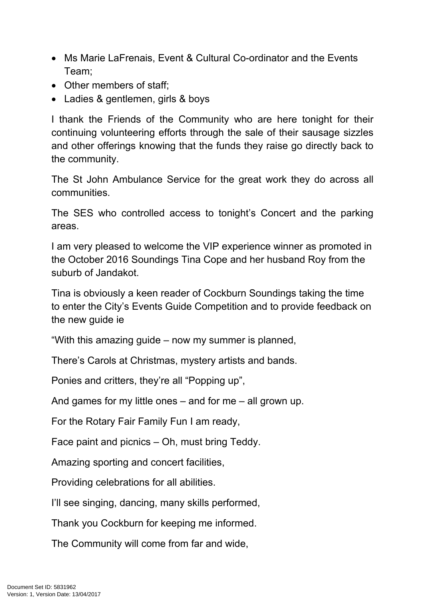- Ms Marie LaFrenais, Event & Cultural Co-ordinator and the Events Team;
- Other members of staff:
- Ladies & gentlemen, girls & boys

I thank the Friends of the Community who are here tonight for their continuing volunteering efforts through the sale of their sausage sizzles and other offerings knowing that the funds they raise go directly back to the community.

The St John Ambulance Service for the great work they do across all communities.

The SES who controlled access to tonight's Concert and the parking areas.

I am very pleased to welcome the VIP experience winner as promoted in the October 2016 Soundings Tina Cope and her husband Roy from the suburb of Jandakot.

Tina is obviously a keen reader of Cockburn Soundings taking the time to enter the City's Events Guide Competition and to provide feedback on the new guide ie

"With this amazing guide – now my summer is planned,

There's Carols at Christmas, mystery artists and bands.

Ponies and critters, they're all "Popping up",

And games for my little ones – and for me – all grown up.

For the Rotary Fair Family Fun I am ready,

Face paint and picnics – Oh, must bring Teddy.

Amazing sporting and concert facilities,

Providing celebrations for all abilities.

I'll see singing, dancing, many skills performed,

Thank you Cockburn for keeping me informed.

The Community will come from far and wide,